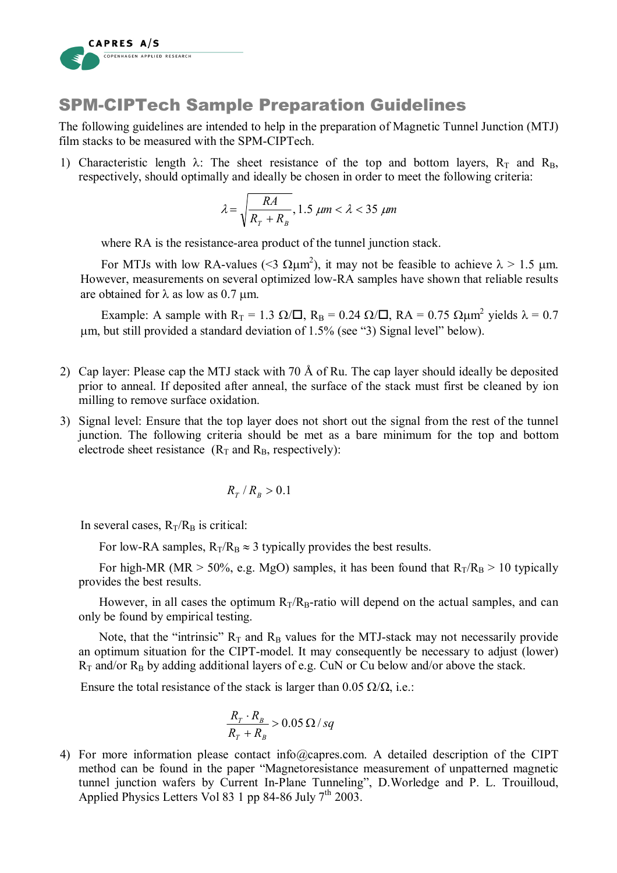

## SPM-CIPTech Sample Preparation Guidelines

The following guidelines are intended to help in the preparation of Magnetic Tunnel Junction (MTJ) film stacks to be measured with the SPM-CIPTech.

1) Characteristic length  $\lambda$ : The sheet resistance of the top and bottom layers,  $R_T$  and  $R_B$ , respectively, should optimally and ideally be chosen in order to meet the following criteria:

$$
\lambda = \sqrt{\frac{RA}{R_T + R_B}}, 1.5 \ \mu m < \lambda < 35 \ \mu m
$$

where RA is the resistance-area product of the tunnel junction stack.

For MTJs with low RA-values ( $\leq 3 \Omega \mu m^2$ ), it may not be feasible to achieve  $\lambda > 1.5 \mu m$ . However, measurements on several optimized low-RA samples have shown that reliable results are obtained for  $\lambda$  as low as 0.7 um.

Example: A sample with  $R_T = 1.3 \Omega/\square$ ,  $R_B = 0.24 \Omega/\square$ ,  $RA = 0.75 \Omega \mu m^2$  yields  $\lambda = 0.7$ µm, but still provided a standard deviation of 1.5% (see "3) Signal level" below).

- 2) Cap layer: Please cap the MTJ stack with 70 Å of Ru. The cap layer should ideally be deposited prior to anneal. If deposited after anneal, the surface of the stack must first be cleaned by ion milling to remove surface oxidation.
- 3) Signal level: Ensure that the top layer does not short out the signal from the rest of the tunnel junction. The following criteria should be met as a bare minimum for the top and bottom electrode sheet resistance  $(R_T \text{ and } R_B \text{, respectively})$ :

$$
R_{\scriptscriptstyle T} \,/\,R_{\scriptscriptstyle B} > 0.1
$$

In several cases,  $R_T/R_B$  is critical:

For low-RA samples,  $R_T/R_B \approx 3$  typically provides the best results.

For high-MR (MR  $>$  50%, e.g. MgO) samples, it has been found that  $R_T/R_B > 10$  typically provides the best results.

However, in all cases the optimum  $R_T/R_B$ -ratio will depend on the actual samples, and can only be found by empirical testing.

Note, that the "intrinsic"  $R_T$  and  $R_B$  values for the MTJ-stack may not necessarily provide an optimum situation for the CIPT-model. It may consequently be necessary to adjust (lower)  $R_T$  and/or  $R_B$  by adding additional layers of e.g. CuN or Cu below and/or above the stack.

Ensure the total resistance of the stack is larger than  $0.05 \Omega/\Omega$ , i.e.:

$$
\frac{R_{T} \cdot R_{B}}{R_{T} + R_{B}} > 0.05 \Omega / sq
$$

4) For more information please contact info@capres.com. A detailed description of the CIPT method can be found in the paper "Magnetoresistance measurement of unpatterned magnetic tunnel junction wafers by Current In-Plane Tunneling", D.Worledge and P. L. Trouilloud, Applied Physics Letters Vol 83 1 pp 84-86 July  $7<sup>th</sup>$  2003.